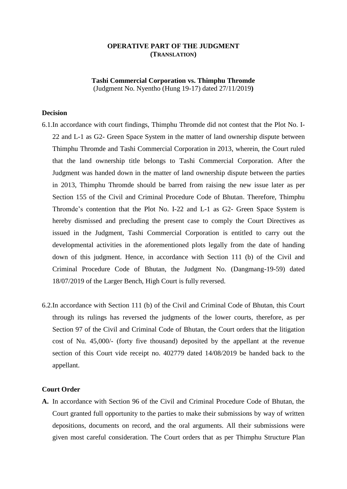# **OPERATIVE PART OF THE JUDGMENT (TRANSLATION)**

**Tashi Commercial Corporation vs. Thimphu Thromde** (Judgment No. Nyentho (Hung 19-17) dated 27/11/2019**)**

# **Decision**

- 6.1.In accordance with court findings, Thimphu Thromde did not contest that the Plot No. I-22 and L-1 as G2- Green Space System in the matter of land ownership dispute between Thimphu Thromde and Tashi Commercial Corporation in 2013, wherein, the Court ruled that the land ownership title belongs to Tashi Commercial Corporation. After the Judgment was handed down in the matter of land ownership dispute between the parties in 2013, Thimphu Thromde should be barred from raising the new issue later as per Section 155 of the Civil and Criminal Procedure Code of Bhutan. Therefore, Thimphu Thromde"s contention that the Plot No. I-22 and L-1 as G2- Green Space System is hereby dismissed and precluding the present case to comply the Court Directives as issued in the Judgment, Tashi Commercial Corporation is entitled to carry out the developmental activities in the aforementioned plots legally from the date of handing down of this judgment. Hence, in accordance with Section 111 (b) of the Civil and Criminal Procedure Code of Bhutan, the Judgment No. (Dangmang-19-59) dated 18/07/2019 of the Larger Bench, High Court is fully reversed.
- 6.2.In accordance with Section 111 (b) of the Civil and Criminal Code of Bhutan, this Court through its rulings has reversed the judgments of the lower courts, therefore, as per Section 97 of the Civil and Criminal Code of Bhutan, the Court orders that the litigation cost of Nu. 45,000/- (forty five thousand) deposited by the appellant at the revenue section of this Court vide receipt no. 402779 dated 14/08/2019 be handed back to the appellant.

#### **Court Order**

**A.** In accordance with Section 96 of the Civil and Criminal Procedure Code of Bhutan, the Court granted full opportunity to the parties to make their submissions by way of written depositions, documents on record, and the oral arguments. All their submissions were given most careful consideration. The Court orders that as per Thimphu Structure Plan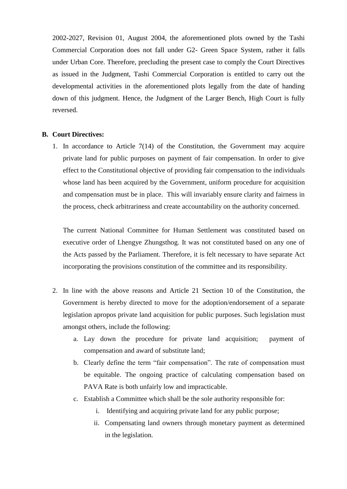2002-2027, Revision 01, August 2004, the aforementioned plots owned by the Tashi Commercial Corporation does not fall under G2- Green Space System, rather it falls under Urban Core. Therefore, precluding the present case to comply the Court Directives as issued in the Judgment, Tashi Commercial Corporation is entitled to carry out the developmental activities in the aforementioned plots legally from the date of handing down of this judgment. Hence, the Judgment of the Larger Bench, High Court is fully reversed.

### **B. Court Directives:**

1. In accordance to Article 7(14) of the Constitution, the Government may acquire private land for public purposes on payment of fair compensation. In order to give effect to the Constitutional objective of providing fair compensation to the individuals whose land has been acquired by the Government, uniform procedure for acquisition and compensation must be in place. This will invariably ensure clarity and fairness in the process, check arbitrariness and create accountability on the authority concerned.

The current National Committee for Human Settlement was constituted based on executive order of Lhengye Zhungsthog. It was not constituted based on any one of the Acts passed by the Parliament. Therefore, it is felt necessary to have separate Act incorporating the provisions constitution of the committee and its responsibility.

- 2. In line with the above reasons and Article 21 Section 10 of the Constitution, the Government is hereby directed to move for the adoption/endorsement of a separate legislation apropos private land acquisition for public purposes. Such legislation must amongst others, include the following:
	- a. Lay down the procedure for private land acquisition; payment of compensation and award of substitute land;
	- b. Clearly define the term "fair compensation". The rate of compensation must be equitable. The ongoing practice of calculating compensation based on PAVA Rate is both unfairly low and impracticable.
	- c. Establish a Committee which shall be the sole authority responsible for:
		- i. Identifying and acquiring private land for any public purpose;
		- ii. Compensating land owners through monetary payment as determined in the legislation.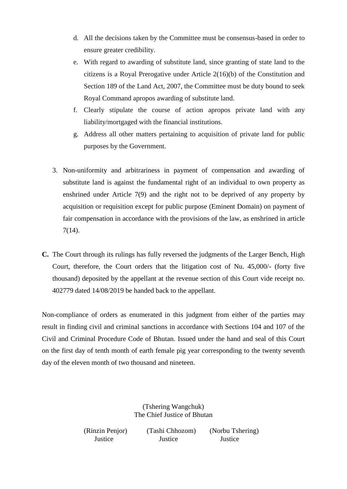- d. All the decisions taken by the Committee must be consensus-based in order to ensure greater credibility.
- e. With regard to awarding of substitute land, since granting of state land to the citizens is a Royal Prerogative under Article 2(16)(b) of the Constitution and Section 189 of the Land Act, 2007, the Committee must be duty bound to seek Royal Command apropos awarding of substitute land.
- f. Clearly stipulate the course of action apropos private land with any liability/mortgaged with the financial institutions.
- g. Address all other matters pertaining to acquisition of private land for public purposes by the Government.
- 3. Non-uniformity and arbitrariness in payment of compensation and awarding of substitute land is against the fundamental right of an individual to own property as enshrined under Article 7(9) and the right not to be deprived of any property by acquisition or requisition except for public purpose (Eminent Domain) on payment of fair compensation in accordance with the provisions of the law, as enshrined in article 7(14).
- **C.** The Court through its rulings has fully reversed the judgments of the Larger Bench, High Court, therefore, the Court orders that the litigation cost of Nu. 45,000/- (forty five thousand) deposited by the appellant at the revenue section of this Court vide receipt no. 402779 dated 14/08/2019 be handed back to the appellant.

Non-compliance of orders as enumerated in this judgment from either of the parties may result in finding civil and criminal sanctions in accordance with Sections 104 and 107 of the Civil and Criminal Procedure Code of Bhutan. Issued under the hand and seal of this Court on the first day of tenth month of earth female pig year corresponding to the twenty seventh day of the eleven month of two thousand and nineteen.

> (Tshering Wangchuk) The Chief Justice of Bhutan

(Rinzin Penjor) (Tashi Chhozom) (Norbu Tshering) Justice Justice Justice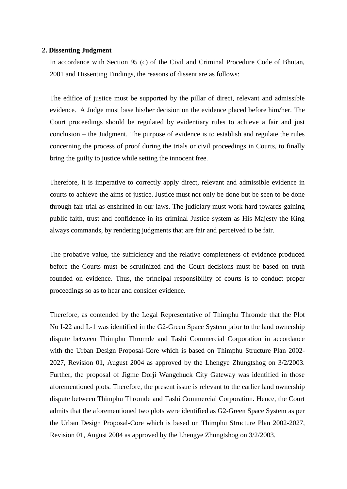### **2. Dissenting Judgment**

In accordance with Section 95 (c) of the Civil and Criminal Procedure Code of Bhutan, 2001 and Dissenting Findings, the reasons of dissent are as follows:

The edifice of justice must be supported by the pillar of direct, relevant and admissible evidence. A Judge must base his/her decision on the evidence placed before him/her. The Court proceedings should be regulated by evidentiary rules to achieve a fair and just conclusion – the Judgment. The purpose of evidence is to establish and regulate the rules concerning the process of proof during the trials or civil proceedings in Courts, to finally bring the guilty to justice while setting the innocent free.

Therefore, it is imperative to correctly apply direct, relevant and admissible evidence in courts to achieve the aims of justice. Justice must not only be done but be seen to be done through fair trial as enshrined in our laws. The judiciary must work hard towards gaining public faith, trust and confidence in its criminal Justice system as His Majesty the King always commands, by rendering judgments that are fair and perceived to be fair.

The probative value, the sufficiency and the relative completeness of evidence produced before the Courts must be scrutinized and the Court decisions must be based on truth founded on evidence. Thus, the principal responsibility of courts is to conduct proper proceedings so as to hear and consider evidence.

Therefore, as contended by the Legal Representative of Thimphu Thromde that the Plot No I-22 and L-1 was identified in the G2-Green Space System prior to the land ownership dispute between Thimphu Thromde and Tashi Commercial Corporation in accordance with the Urban Design Proposal-Core which is based on Thimphu Structure Plan 2002- 2027, Revision 01, August 2004 as approved by the Lhengye Zhungtshog on 3/2/2003. Further, the proposal of Jigme Dorji Wangchuck City Gateway was identified in those aforementioned plots. Therefore, the present issue is relevant to the earlier land ownership dispute between Thimphu Thromde and Tashi Commercial Corporation. Hence, the Court admits that the aforementioned two plots were identified as G2-Green Space System as per the Urban Design Proposal-Core which is based on Thimphu Structure Plan 2002-2027, Revision 01, August 2004 as approved by the Lhengye Zhungtshog on 3/2/2003.